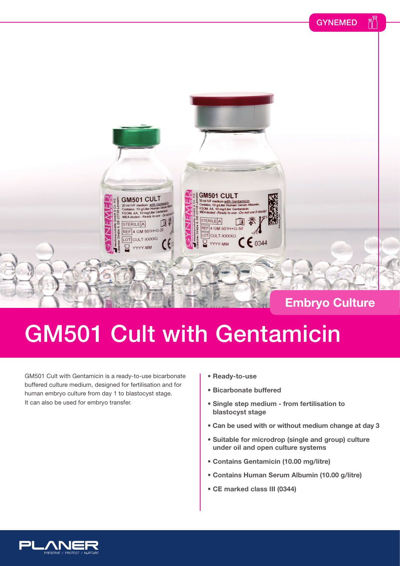



## GM501 Cult with Gentamicin

GM501 Cult with Gentamicin is a ready-to-use bicarbonate buffered culture medium, designed for fertilisation and for human embryo culture from day 1 to blastocyst stage. It can also be used for embryo transfer.

- **Ready-to-use**
- **Bicarbonate buffered**
- **Single step medium from fertilisation to blastocyst stage**
- **Can be used with or without medium change at day 3**
- **Suitable for microdrop (single and group) culture under oil and open culture systems**
- **Contains Gentamicin (10.00 mg/litre)**
- **Contains Human Serum Albumin (10.00 g/litre)**
- **CE marked class III (0344)**